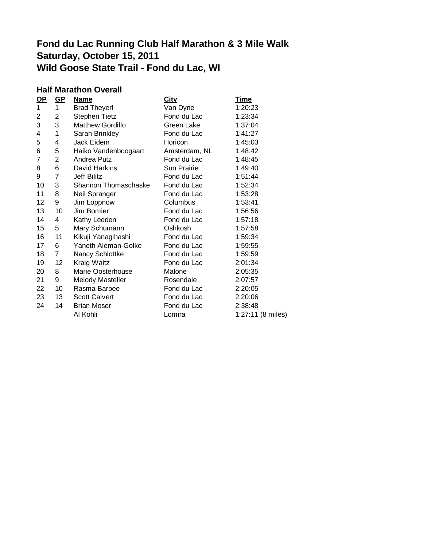# **Fond du Lac Running Club Half Marathon & 3 Mile Walk Saturday, October 15, 2011 Wild Goose State Trail - Fond du Lac, WI**

#### **Half Marathon Overall**

| $OP$           | $GP$                    | <b>Name</b>             | <b>City</b>   | <u>Time</u>       |
|----------------|-------------------------|-------------------------|---------------|-------------------|
| $\mathbf{1}$   | 1                       | <b>Brad Theyerl</b>     | Van Dyne      | 1:20:23           |
| $\overline{c}$ | $\overline{\mathbf{c}}$ | Stephen Tietz           | Fond du Lac   | 1:23:34           |
| 3              | 3                       | Matthew Gordillo        | Green Lake    | 1:37:04           |
| 4              | $\mathbf 1$             | Sarah Brinkley          | Fond du Lac   | 1:41:27           |
| 5              | 4                       | Jack Eidem              | Horicon       | 1:45:03           |
| 6              | 5                       | Haiko Vandenboogaart    | Amsterdam, NL | 1:48:42           |
| 7              | $\overline{2}$          | Andrea Putz             | Fond du Lac   | 1:48:45           |
| 8              | 6                       | David Harkins           | Sun Prairie   | 1:49:40           |
| 9              | $\overline{7}$          | Jeff Bilitz             | Fond du Lac   | 1:51:44           |
| 10             | 3                       | Shannon Thomaschaske    | Fond du Lac   | 1:52:34           |
| 11             | 8                       | Neil Spranger           | Fond du Lac   | 1:53:28           |
| 12             | 9                       | Jim Loppnow             | Columbus      | 1:53:41           |
| 13             | 10                      | Jim Bomier              | Fond du Lac   | 1:56:56           |
| 14             | 4                       | Kathy Ledden            | Fond du Lac   | 1:57:18           |
| 15             | 5                       | Mary Schumann           | Oshkosh       | 1:57:58           |
| 16             | 11                      | Kikuji Yanagihashi      | Fond du Lac   | 1:59:34           |
| 17             | 6                       | Yaneth Aleman-Golke     | Fond du Lac   | 1:59:55           |
| 18             | $\overline{7}$          | Nancy Schlottke         | Fond du Lac   | 1:59:59           |
| 19             | 12 <sub>2</sub>         | Kraig Waitz             | Fond du Lac   | 2:01:34           |
| 20             | 8                       | Marie Oosterhouse       | Malone        | 2:05:35           |
| 21             | 9                       | <b>Melody Masteller</b> | Rosendale     | 2:07:57           |
| 22             | 10                      | Rasma Barbee            | Fond du Lac   | 2:20:05           |
| 23             | 13                      | <b>Scott Calvert</b>    | Fond du Lac   | 2:20:06           |
| 24             | 14                      | <b>Brian Moser</b>      | Fond du Lac   | 2:38:48           |
|                |                         | Al Kohli                | Lomira        | 1:27:11 (8 miles) |
|                |                         |                         |               |                   |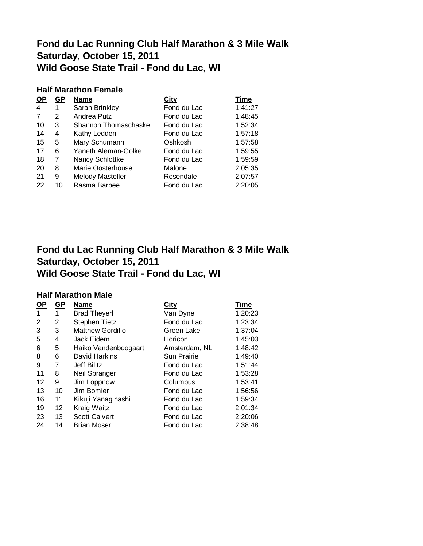### **Fond du Lac Running Club Half Marathon & 3 Mile Walk Saturday, October 15, 2011 Wild Goose State Trail - Fond du Lac, WI**

#### **Half Marathon Female**

| <u>OP</u> | GР | <b>Name</b>              | <u>City</u> | <b>Time</b> |
|-----------|----|--------------------------|-------------|-------------|
| 4         | 1  | Sarah Brinkley           | Fond du Lac | 1:41:27     |
| 7         | 2  | Andrea Putz              | Fond du Lac | 1:48:45     |
| 10        | 3  | Shannon Thomaschaske     | Fond du Lac | 1:52:34     |
| 14        | 4  | Kathy Ledden             | Fond du Lac | 1:57:18     |
| 15        | 5  | Mary Schumann            | Oshkosh     | 1:57:58     |
| 17        | 6  | Yaneth Aleman-Golke      | Fond du Lac | 1:59:55     |
| 18        | 7  | Nancy Schlottke          | Fond du Lac | 1:59:59     |
| 20        | 8  | <b>Marie Oosterhouse</b> | Malone      | 2:05:35     |
| 21        | 9  | <b>Melody Masteller</b>  | Rosendale   | 2:07:57     |
| 22        | 10 | Rasma Barbee             | Fond du Lac | 2:20:05     |

## **Fond du Lac Running Club Half Marathon & 3 Mile Walk Saturday, October 15, 2011 Wild Goose State Trail - Fond du Lac, WI**

#### **Half Marathon Male**

| $OP$ | $GP$            | <b>Name</b>             | <b>City</b>        | <b>Time</b> |
|------|-----------------|-------------------------|--------------------|-------------|
| 1    | 1               | <b>Brad Theyerl</b>     | Van Dyne           | 1:20:23     |
| 2    | 2               | <b>Stephen Tietz</b>    | Fond du Lac        | 1:23:34     |
| 3    | 3               | <b>Matthew Gordillo</b> | Green Lake         | 1:37:04     |
| 5    | 4               | Jack Eidem              | Horicon            | 1:45:03     |
| 6    | 5               | Haiko Vandenboogaart    | Amsterdam, NL      | 1:48:42     |
| 8    | 6               | David Harkins           | <b>Sun Prairie</b> | 1:49:40     |
| 9    | 7               | Jeff Bilitz             | Fond du Lac        | 1:51:44     |
| 11   | 8               | Neil Spranger           | Fond du Lac        | 1:53:28     |
| 12   | 9               | Jim Loppnow             | Columbus           | 1:53:41     |
| 13   | 10              | Jim Bomier              | Fond du Lac        | 1:56:56     |
| 16   | 11              | Kikuji Yanagihashi      | Fond du Lac        | 1:59:34     |
| 19   | 12 <sup>2</sup> | Kraig Waitz             | Fond du Lac        | 2:01:34     |
| 23   | 13              | <b>Scott Calvert</b>    | Fond du Lac        | 2:20:06     |
| 24   | 14              | <b>Brian Moser</b>      | Fond du Lac        | 2:38:48     |